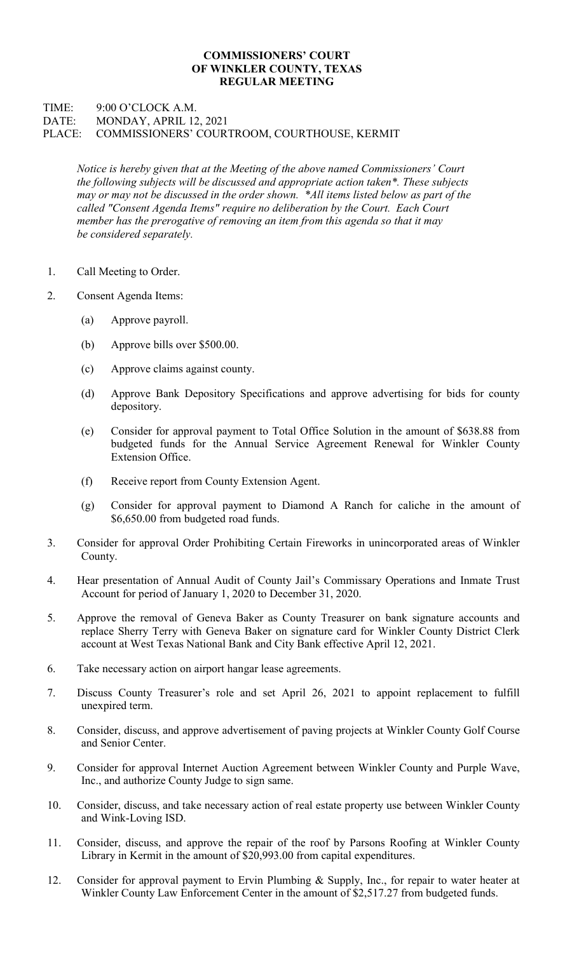## COMMISSIONERS' COURT OF WINKLER COUNTY, TEXAS REGULAR MEETING

## TIME: 9:00 O'CLOCK A.M. DATE: MONDAY, APRIL 12, 2021 PLACE: COMMISSIONERS' COURTROOM, COURTHOUSE, KERMIT

Notice is hereby given that at the Meeting of the above named Commissioners' Court the following subjects will be discussed and appropriate action taken\*. These subjects may or may not be discussed in the order shown. \*All items listed below as part of the called "Consent Agenda Items" require no deliberation by the Court. Each Court member has the prerogative of removing an item from this agenda so that it may be considered separately.

- 1. Call Meeting to Order.
- 2. Consent Agenda Items:
	- (a) Approve payroll.
	- (b) Approve bills over \$500.00.
	- (c) Approve claims against county.
	- (d) Approve Bank Depository Specifications and approve advertising for bids for county depository.
	- (e) Consider for approval payment to Total Office Solution in the amount of \$638.88 from budgeted funds for the Annual Service Agreement Renewal for Winkler County Extension Office.
	- (f) Receive report from County Extension Agent.
	- (g) Consider for approval payment to Diamond A Ranch for caliche in the amount of \$6,650.00 from budgeted road funds.
- 3. Consider for approval Order Prohibiting Certain Fireworks in unincorporated areas of Winkler County.
- 4. Hear presentation of Annual Audit of County Jail's Commissary Operations and Inmate Trust Account for period of January 1, 2020 to December 31, 2020.
- 5. Approve the removal of Geneva Baker as County Treasurer on bank signature accounts and replace Sherry Terry with Geneva Baker on signature card for Winkler County District Clerk account at West Texas National Bank and City Bank effective April 12, 2021.
- 6. Take necessary action on airport hangar lease agreements.
- 7. Discuss County Treasurer's role and set April 26, 2021 to appoint replacement to fulfill unexpired term.
- 8. Consider, discuss, and approve advertisement of paving projects at Winkler County Golf Course and Senior Center.
- 9. Consider for approval Internet Auction Agreement between Winkler County and Purple Wave, Inc., and authorize County Judge to sign same.
- 10. Consider, discuss, and take necessary action of real estate property use between Winkler County and Wink-Loving ISD.
- 11. Consider, discuss, and approve the repair of the roof by Parsons Roofing at Winkler County Library in Kermit in the amount of \$20,993.00 from capital expenditures.
- 12. Consider for approval payment to Ervin Plumbing & Supply, Inc., for repair to water heater at Winkler County Law Enforcement Center in the amount of \$2,517.27 from budgeted funds.